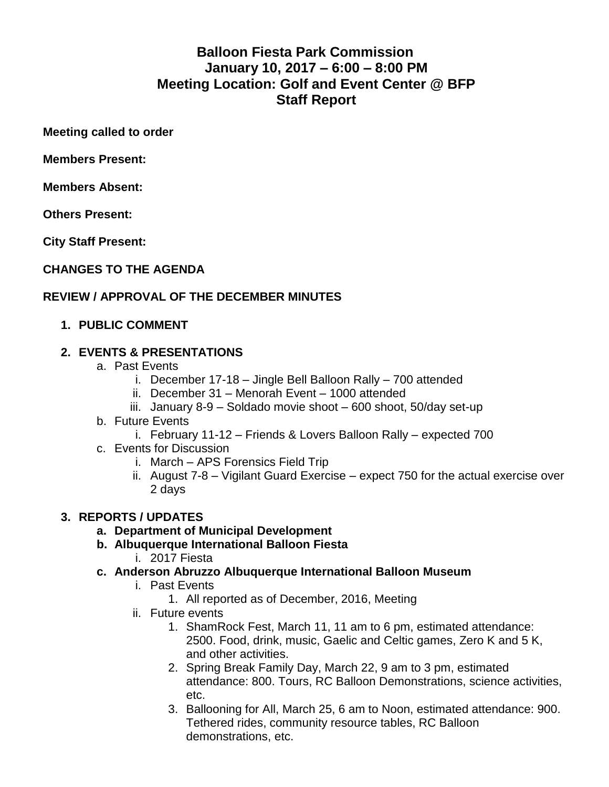# **Balloon Fiesta Park Commission January 10, 2017 – 6:00 – 8:00 PM Meeting Location: Golf and Event Center @ BFP Staff Report**

**Meeting called to order** 

**Members Present:** 

**Members Absent:** 

**Others Present:** 

**City Staff Present:**

**CHANGES TO THE AGENDA**

## **REVIEW / APPROVAL OF THE DECEMBER MINUTES**

## **1. PUBLIC COMMENT**

## **2. EVENTS & PRESENTATIONS**

- a. Past Events
	- i. December 17-18 Jingle Bell Balloon Rally 700 attended
	- ii. December 31 Menorah Event 1000 attended
	- iii. January 8-9 Soldado movie shoot 600 shoot, 50/day set-up
- b. Future Events
	- i. February 11-12 Friends & Lovers Balloon Rally expected 700
- c. Events for Discussion
	- i. March APS Forensics Field Trip
	- ii. August 7-8 Vigilant Guard Exercise expect 750 for the actual exercise over 2 days

## **3. REPORTS / UPDATES**

- **a. Department of Municipal Development**
- **b. Albuquerque International Balloon Fiesta**
	- i. 2017 Fiesta
- **c. Anderson Abruzzo Albuquerque International Balloon Museum**
	- i. Past Events
		- 1. All reported as of December, 2016, Meeting
	- ii. Future events
		- 1. ShamRock Fest, March 11, 11 am to 6 pm, estimated attendance: 2500. Food, drink, music, Gaelic and Celtic games, Zero K and 5 K, and other activities.
		- 2. Spring Break Family Day, March 22, 9 am to 3 pm, estimated attendance: 800. Tours, RC Balloon Demonstrations, science activities, etc.
		- 3. Ballooning for All, March 25, 6 am to Noon, estimated attendance: 900. Tethered rides, community resource tables, RC Balloon demonstrations, etc.